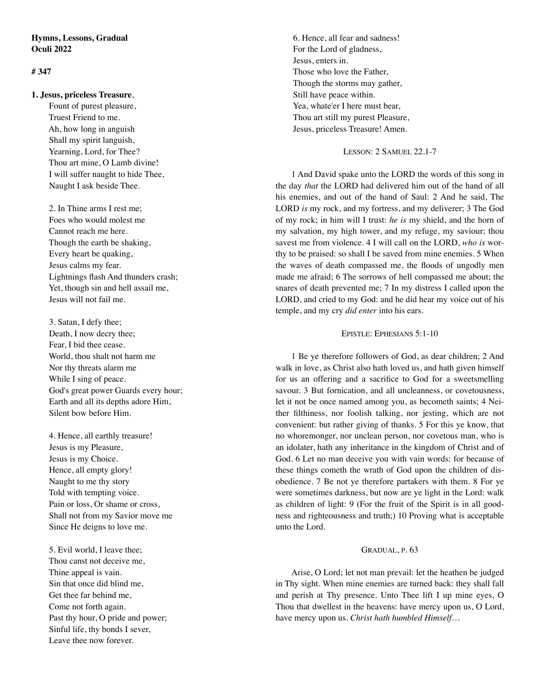# **Hymns, Lessons, Gradual Oculi 2022**

## **# 347**

## **1. Jesus, priceless Treasure**,

 Fount of purest pleasure, Truest Friend to me. Ah, how long in anguish Shall my spirit languish, Yearning, Lord, for Thee? Thou art mine, O Lamb divine! I will suffer naught to hide Thee, Naught I ask beside Thee.

 2. In Thine arms I rest me; Foes who would molest me Cannot reach me here. Though the earth be shaking, Every heart be quaking, Jesus calms my fear. Lightnings flash And thunders crash; Yet, though sin and hell assail me, Jesus will not fail me.

 3. Satan, I defy thee; Death, I now decry thee; Fear, I bid thee cease. World, thou shalt not harm me Nor thy threats alarm me While I sing of peace. God's great power Guards every hour; Earth and all its depths adore Him, Silent bow before Him.

 4. Hence, all earthly treasure! Jesus is my Pleasure, Jesus is my Choice. Hence, all empty glory! Naught to me thy story Told with tempting voice. Pain or loss, Or shame or cross, Shall not from my Savior move me Since He deigns to love me.

 5. Evil world, I leave thee; Thou canst not deceive me, Thine appeal is vain. Sin that once did blind me, Get thee far behind me, Come not forth again. Past thy hour, O pride and power; Sinful life, thy bonds I sever, Leave thee now forever.

 6. Hence, all fear and sadness! For the Lord of gladness, Jesus, enters in. Those who love the Father, Though the storms may gather, Still have peace within. Yea, whate'er I here must bear, Thou art still my purest Pleasure, Jesus, priceless Treasure! Amen.

## LESSON: 2 SAMUEL 22.1-7

1 And David spake unto the LORD the words of this song in the day *that* the LORD had delivered him out of the hand of all his enemies, and out of the hand of Saul: 2 And he said, The LORD *is* my rock, and my fortress, and my deliverer; 3 The God of my rock; in him will I trust: *he is* my shield, and the horn of my salvation, my high tower, and my refuge, my saviour; thou savest me from violence. 4 I will call on the LORD, *who is* worthy to be praised: so shall I be saved from mine enemies. 5 When the waves of death compassed me, the floods of ungodly men made me afraid; 6 The sorrows of hell compassed me about; the snares of death prevented me; 7 In my distress I called upon the LORD, and cried to my God: and he did hear my voice out of his temple, and my cry *did enter* into his ears.

## EPISTLE: EPHESIANS 5:1-10

1 Be ye therefore followers of God, as dear children; 2 And walk in love, as Christ also hath loved us, and hath given himself for us an offering and a sacrifice to God for a sweetsmelling savour. 3 But fornication, and all uncleanness, or covetousness, let it not be once named among you, as becometh saints; 4 Neither filthiness, nor foolish talking, nor jesting, which are not convenient: but rather giving of thanks. 5 For this ye know, that no whoremonger, nor unclean person, nor covetous man, who is an idolater, hath any inheritance in the kingdom of Christ and of God. 6 Let no man deceive you with vain words: for because of these things cometh the wrath of God upon the children of disobedience. 7 Be not ye therefore partakers with them. 8 For ye were sometimes darkness, but now are ye light in the Lord: walk as children of light: 9 (For the fruit of the Spirit is in all goodness and righteousness and truth;) 10 Proving what is acceptable unto the Lord.

### GRADUAL, P. 63

Arise, O Lord; let not man prevail: let the heathen be judged in Thy sight. When mine enemies are turned back: they shall fall and perish at Thy presence. Unto Thee lift I up mine eyes, O Thou that dwellest in the heavens: have mercy upon us, O Lord, have mercy upon us. *Christ hath humbled Himself…*